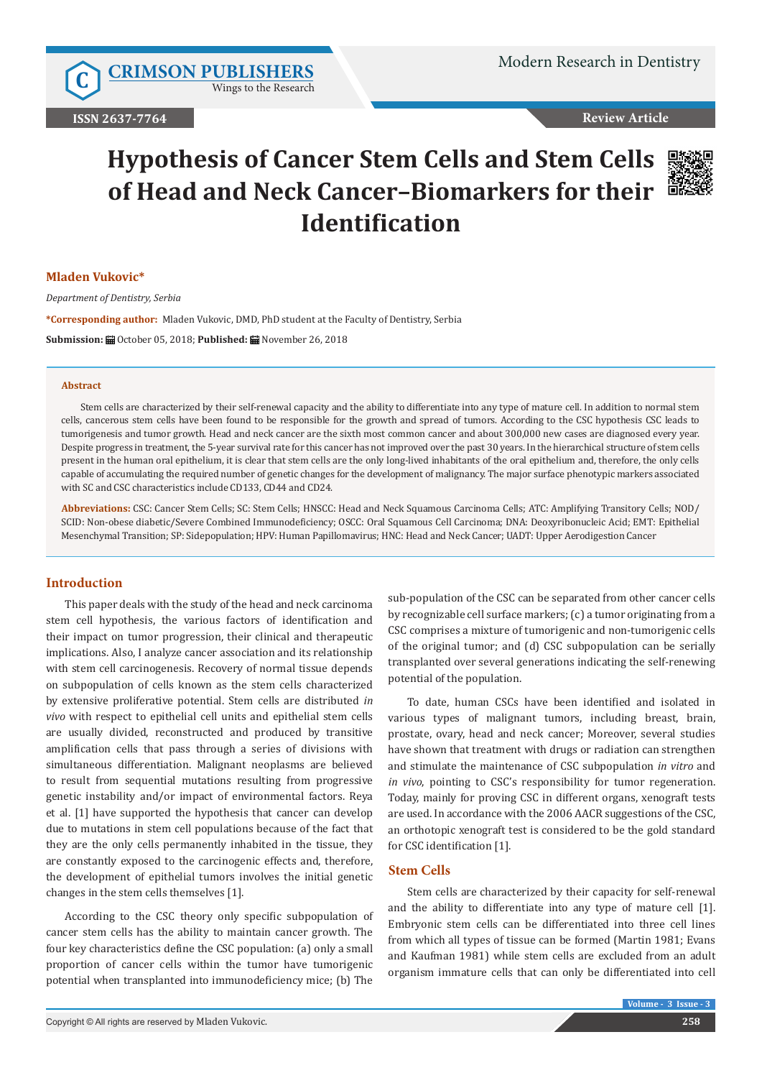**C [CRIMSON PUBLISHERS](http://crimsonpublishers.com/index.php)** Wings to the Research

### **Review Article**

# **Hypothesis of Cancer Stem Cells and Stem Cells of Head and Neck Cancer–Biomarkers for their Identification**



### **Mladen Vukovic\***

*Department of Dentistry, Serbia*

**\*Corresponding author:** Mladen Vukovic, DMD, PhD student at the Faculty of Dentistry, Serbia **Submission: H**October 05, 2018: Published: H November 26, 2018

#### **Abstract**

Stem cells are characterized by their self-renewal capacity and the ability to differentiate into any type of mature cell. In addition to normal stem cells, cancerous stem cells have been found to be responsible for the growth and spread of tumors. According to the CSC hypothesis CSC leads to tumorigenesis and tumor growth. Head and neck cancer are the sixth most common cancer and about 300,000 new cases are diagnosed every year. Despite progress in treatment, the 5-year survival rate for this cancer has not improved over the past 30 years. In the hierarchical structure of stem cells present in the human oral epithelium, it is clear that stem cells are the only long-lived inhabitants of the oral epithelium and, therefore, the only cells capable of accumulating the required number of genetic changes for the development of malignancy. The major surface phenotypic markers associated with SC and CSC characteristics include CD133, CD44 and CD24.

**Abbreviations:** CSC: Cancer Stem Cells; SC: Stem Cells; HNSCC: Head and Neck Squamous Carcinoma Cells; ATC: Amplifying Transitory Cells; NOD/ SCID: Non-obese diabetic/Severe Combined Immunodeficiency; OSCC: Oral Squamous Cell Carcinoma; DNA: Deoxyribonucleic Acid; EMT: Epithelial Mesenchymal Transition; SP: Sidepopulation; HPV: Human Papillomavirus; HNC: Head and Neck Cancer; UADT: Upper Aerodigestion Cancer

### **Introduction**

This paper deals with the study of the head and neck carcinoma stem cell hypothesis, the various factors of identification and their impact on tumor progression, their clinical and therapeutic implications. Also, I analyze cancer association and its relationship with stem cell carcinogenesis. Recovery of normal tissue depends on subpopulation of cells known as the stem cells characterized by extensive proliferative potential. Stem cells are distributed *in vivo* with respect to epithelial cell units and epithelial stem cells are usually divided, reconstructed and produced by transitive amplification cells that pass through a series of divisions with simultaneous differentiation. Malignant neoplasms are believed to result from sequential mutations resulting from progressive genetic instability and/or impact of environmental factors. Reya et al. [1] have supported the hypothesis that cancer can develop due to mutations in stem cell populations because of the fact that they are the only cells permanently inhabited in the tissue, they are constantly exposed to the carcinogenic effects and, therefore, the development of epithelial tumors involves the initial genetic changes in the stem cells themselves [1].

According to the CSC theory only specific subpopulation of cancer stem cells has the ability to maintain cancer growth. The four key characteristics define the CSC population: (a) only a small proportion of cancer cells within the tumor have tumorigenic potential when transplanted into immunodeficiency mice; (b) The

sub-population of the CSC can be separated from other cancer cells by recognizable cell surface markers; (c) a tumor originating from a CSC comprises a mixture of tumorigenic and non-tumorigenic cells of the original tumor; and (d) CSC subpopulation can be serially transplanted over several generations indicating the self-renewing potential of the population.

To date, human CSCs have been identified and isolated in various types of malignant tumors, including breast, brain, prostate, ovary, head and neck cancer; Moreover, several studies have shown that treatment with drugs or radiation can strengthen and stimulate the maintenance of CSC subpopulation *in vitro* and *in vivo*, pointing to CSC's responsibility for tumor regeneration. Today, mainly for proving CSC in different organs, xenograft tests are used. In accordance with the 2006 AACR suggestions of the CSC, an orthotopic xenograft test is considered to be the gold standard for CSC identification [1].

# **Stem Cells**

Stem cells are characterized by their capacity for self-renewal and the ability to differentiate into any type of mature cell [1]. Embryonic stem cells can be differentiated into three cell lines from which all types of tissue can be formed (Martin 1981; Evans and Kaufman 1981) while stem cells are excluded from an adult organism immature cells that can only be differentiated into cell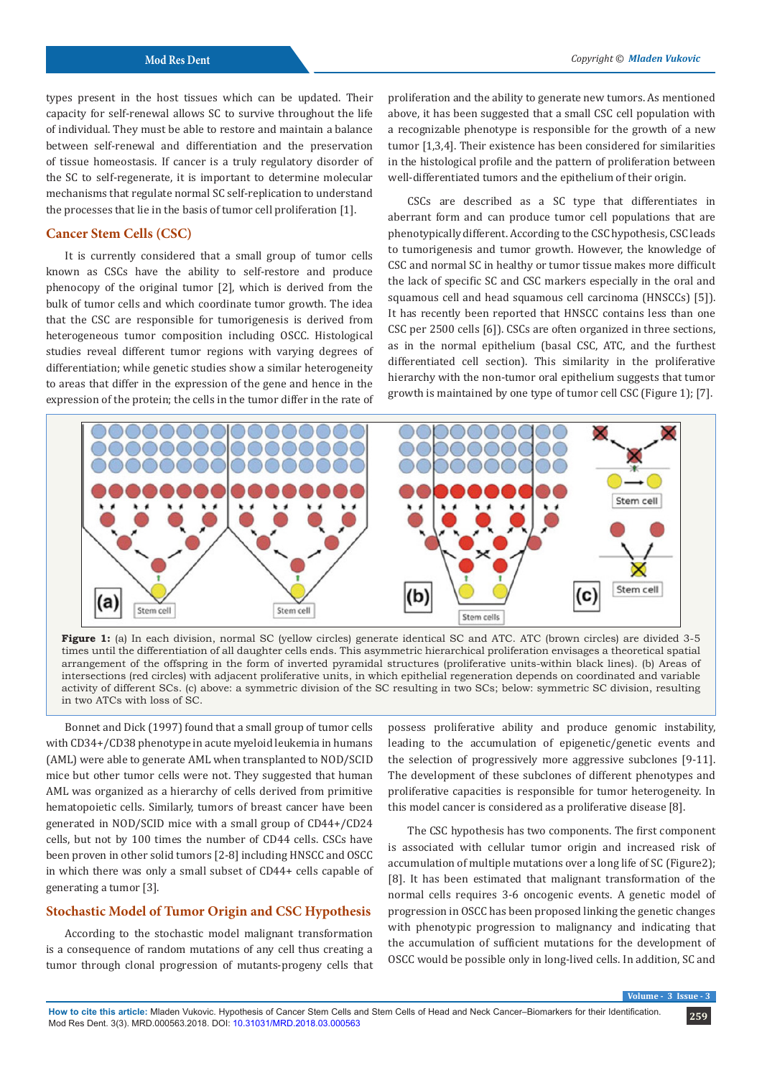types present in the host tissues which can be updated. Their capacity for self-renewal allows SC to survive throughout the life of individual. They must be able to restore and maintain a balance between self-renewal and differentiation and the preservation of tissue homeostasis. If cancer is a truly regulatory disorder of the SC to self-regenerate, it is important to determine molecular mechanisms that regulate normal SC self-replication to understand the processes that lie in the basis of tumor cell proliferation [1].

# **Cancer Stem Cells (CSC)**

It is currently considered that a small group of tumor cells known as CSCs have the ability to self-restore and produce phenocopy of the original tumor [2], which is derived from the bulk of tumor cells and which coordinate tumor growth. The idea that the CSC are responsible for tumorigenesis is derived from heterogeneous tumor composition including OSCC. Histological studies reveal different tumor regions with varying degrees of differentiation; while genetic studies show a similar heterogeneity to areas that differ in the expression of the gene and hence in the expression of the protein; the cells in the tumor differ in the rate of proliferation and the ability to generate new tumors. As mentioned above, it has been suggested that a small CSC cell population with a recognizable phenotype is responsible for the growth of a new tumor [1,3,4]. Their existence has been considered for similarities in the histological profile and the pattern of proliferation between well-differentiated tumors and the epithelium of their origin.

CSCs are described as a SC type that differentiates in aberrant form and can produce tumor cell populations that are phenotypically different. According to the CSC hypothesis, CSC leads to tumorigenesis and tumor growth. However, the knowledge of CSC and normal SC in healthy or tumor tissue makes more difficult the lack of specific SC and CSC markers especially in the oral and squamous cell and head squamous cell carcinoma (HNSCCs) [5]). It has recently been reported that HNSCC contains less than one CSC per 2500 cells [6]). CSCs are often organized in three sections, as in the normal epithelium (basal CSC, ATC, and the furthest differentiated cell section). This similarity in the proliferative hierarchy with the non-tumor oral epithelium suggests that tumor growth is maintained by one type of tumor cell CSC (Figure 1); [7].





Bonnet and Dick (1997) found that a small group of tumor cells with CD34+/CD38 phenotype in acute myeloid leukemia in humans (AML) were able to generate AML when transplanted to NOD/SCID mice but other tumor cells were not. They suggested that human AML was organized as a hierarchy of cells derived from primitive hematopoietic cells. Similarly, tumors of breast cancer have been generated in NOD/SCID mice with a small group of CD44+/CD24 cells, but not by 100 times the number of CD44 cells. CSCs have been proven in other solid tumors [2-8] including HNSCC and OSCC in which there was only a small subset of CD44+ cells capable of generating a tumor [3].

#### **Stochastic Model of Tumor Origin and CSC Hypothesis**

According to the stochastic model malignant transformation is a consequence of random mutations of any cell thus creating a tumor through clonal progression of mutants-progeny cells that possess proliferative ability and produce genomic instability, leading to the accumulation of epigenetic/genetic events and the selection of progressively more aggressive subclones [9-11]. The development of these subclones of different phenotypes and proliferative capacities is responsible for tumor heterogeneity. In this model cancer is considered as a proliferative disease [8].

The CSC hypothesis has two components. The first component is associated with cellular tumor origin and increased risk of accumulation of multiple mutations over a long life of SC (Figure2); [8]. It has been estimated that malignant transformation of the normal cells requires 3-6 oncogenic events. A genetic model of progression in OSCC has been proposed linking the genetic changes with phenotypic progression to malignancy and indicating that the accumulation of sufficient mutations for the development of OSCC would be possible only in long-lived cells. In addition, SC and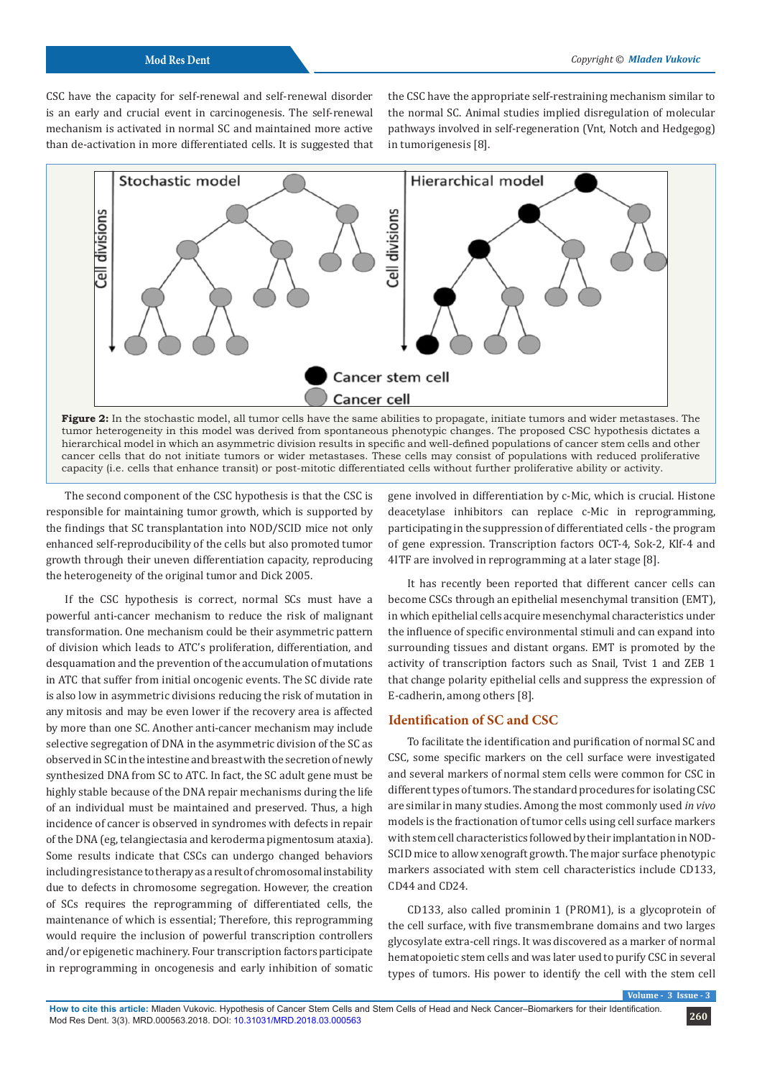CSC have the capacity for self-renewal and self-renewal disorder is an early and crucial event in carcinogenesis. The self-renewal mechanism is activated in normal SC and maintained more active than de-activation in more differentiated cells. It is suggested that the CSC have the appropriate self-restraining mechanism similar to the normal SC. Animal studies implied disregulation of molecular pathways involved in self-regeneration (Vnt, Notch and Hedgegog) in tumorigenesis [8].



**Figure 2:** In the stochastic model, all tumor cells have the same abilities to propagate, initiate tumors and wider metastases. The tumor heterogeneity in this model was derived from spontaneous phenotypic changes. The proposed CSC hypothesis dictates a hierarchical model in which an asymmetric division results in specific and well-defined populations of cancer stem cells and other cancer cells that do not initiate tumors or wider metastases. These cells may consist of populations with reduced proliferative capacity (i.e. cells that enhance transit) or post-mitotic differentiated cells without further proliferative ability or activity.

The second component of the CSC hypothesis is that the CSC is responsible for maintaining tumor growth, which is supported by the findings that SC transplantation into NOD/SCID mice not only enhanced self-reproducibility of the cells but also promoted tumor growth through their uneven differentiation capacity, reproducing the heterogeneity of the original tumor and Dick 2005.

If the CSC hypothesis is correct, normal SCs must have a powerful anti-cancer mechanism to reduce the risk of malignant transformation. One mechanism could be their asymmetric pattern of division which leads to ATC's proliferation, differentiation, and desquamation and the prevention of the accumulation of mutations in ATC that suffer from initial oncogenic events. The SC divide rate is also low in asymmetric divisions reducing the risk of mutation in any mitosis and may be even lower if the recovery area is affected by more than one SC. Another anti-cancer mechanism may include selective segregation of DNA in the asymmetric division of the SC as observed in SC in the intestine and breast with the secretion of newly synthesized DNA from SC to ATC. In fact, the SC adult gene must be highly stable because of the DNA repair mechanisms during the life of an individual must be maintained and preserved. Thus, a high incidence of cancer is observed in syndromes with defects in repair of the DNA (eg, telangiectasia and keroderma pigmentosum ataxia). Some results indicate that CSCs can undergo changed behaviors including resistance to therapy as a result of chromosomal instability due to defects in chromosome segregation. However, the creation of SCs requires the reprogramming of differentiated cells, the maintenance of which is essential; Therefore, this reprogramming would require the inclusion of powerful transcription controllers and/or epigenetic machinery. Four transcription factors participate in reprogramming in oncogenesis and early inhibition of somatic gene involved in differentiation by c-Mic, which is crucial. Histone deacetylase inhibitors can replace c-Mic in reprogramming, participating in the suppression of differentiated cells - the program of gene expression. Transcription factors OCT-4, Sok-2, Klf-4 and 4ITF are involved in reprogramming at a later stage [8].

It has recently been reported that different cancer cells can become CSCs through an epithelial mesenchymal transition (EMT), in which epithelial cells acquire mesenchymal characteristics under the influence of specific environmental stimuli and can expand into surrounding tissues and distant organs. EMT is promoted by the activity of transcription factors such as Snail, Tvist 1 and ZEB 1 that change polarity epithelial cells and suppress the expression of E-cadherin, among others [8].

# **Identification of SC and CSC**

To facilitate the identification and purification of normal SC and CSC, some specific markers on the cell surface were investigated and several markers of normal stem cells were common for CSC in different types of tumors. The standard procedures for isolating CSC are similar in many studies. Among the most commonly used *in vivo* models is the fractionation of tumor cells using cell surface markers with stem cell characteristics followed by their implantation in NOD-SCID mice to allow xenograft growth. The major surface phenotypic markers associated with stem cell characteristics include CD133, CD44 and CD24.

CD133, also called prominin 1 (PROM1), is a glycoprotein of the cell surface, with five transmembrane domains and two larges glycosylate extra-cell rings. It was discovered as a marker of normal hematopoietic stem cells and was later used to purify CSC in several types of tumors. His power to identify the cell with the stem cell

 $V$ *N N* **I**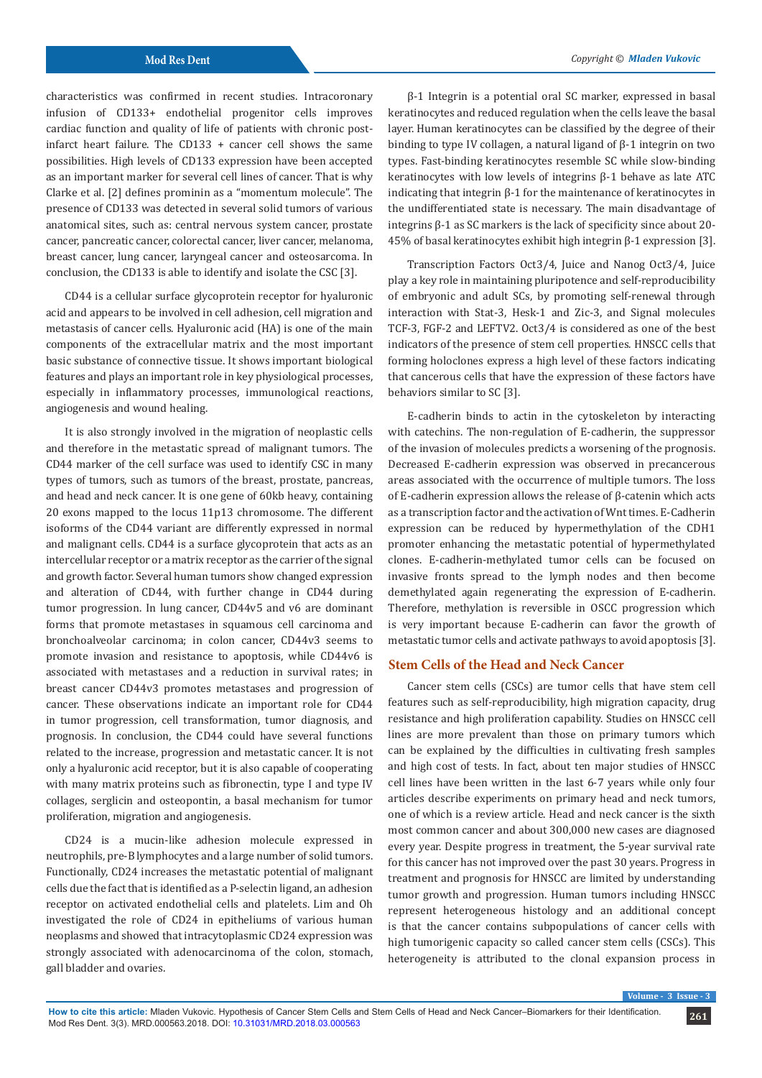characteristics was confirmed in recent studies. Intracoronary infusion of CD133+ endothelial progenitor cells improves cardiac function and quality of life of patients with chronic postinfarct heart failure. The CD133 + cancer cell shows the same possibilities. High levels of CD133 expression have been accepted as an important marker for several cell lines of cancer. That is why Clarke et al. [2] defines prominin as a "momentum molecule". The presence of CD133 was detected in several solid tumors of various anatomical sites, such as: central nervous system cancer, prostate cancer, pancreatic cancer, colorectal cancer, liver cancer, melanoma, breast cancer, lung cancer, laryngeal cancer and osteosarcoma. In conclusion, the CD133 is able to identify and isolate the CSC [3].

CD44 is a cellular surface glycoprotein receptor for hyaluronic acid and appears to be involved in cell adhesion, cell migration and metastasis of cancer cells. Hyaluronic acid (HA) is one of the main components of the extracellular matrix and the most important basic substance of connective tissue. It shows important biological features and plays an important role in key physiological processes, especially in inflammatory processes, immunological reactions, angiogenesis and wound healing.

It is also strongly involved in the migration of neoplastic cells and therefore in the metastatic spread of malignant tumors. The CD44 marker of the cell surface was used to identify CSC in many types of tumors, such as tumors of the breast, prostate, pancreas, and head and neck cancer. It is one gene of 60kb heavy, containing 20 exons mapped to the locus 11p13 chromosome. The different isoforms of the CD44 variant are differently expressed in normal and malignant cells. CD44 is a surface glycoprotein that acts as an intercellular receptor or a matrix receptor as the carrier of the signal and growth factor. Several human tumors show changed expression and alteration of CD44, with further change in CD44 during tumor progression. In lung cancer, CD44v5 and v6 are dominant forms that promote metastases in squamous cell carcinoma and bronchoalveolar carcinoma; in colon cancer, CD44v3 seems to promote invasion and resistance to apoptosis, while CD44v6 is associated with metastases and a reduction in survival rates; in breast cancer CD44v3 promotes metastases and progression of cancer. These observations indicate an important role for CD44 in tumor progression, cell transformation, tumor diagnosis, and prognosis. In conclusion, the CD44 could have several functions related to the increase, progression and metastatic cancer. It is not only a hyaluronic acid receptor, but it is also capable of cooperating with many matrix proteins such as fibronectin, type I and type IV collages, serglicin and osteopontin, a basal mechanism for tumor proliferation, migration and angiogenesis.

CD24 is a mucin-like adhesion molecule expressed in neutrophils, pre-B lymphocytes and a large number of solid tumors. Functionally, CD24 increases the metastatic potential of malignant cells due the fact that is identified as a P-selectin ligand, an adhesion receptor on activated endothelial cells and platelets. Lim and Oh investigated the role of CD24 in epitheliums of various human neoplasms and showed that intracytoplasmic CD24 expression was strongly associated with adenocarcinoma of the colon, stomach, gall bladder and ovaries.

β-1 Integrin is a potential oral SC marker, expressed in basal keratinocytes and reduced regulation when the cells leave the basal layer. Human keratinocytes can be classified by the degree of their binding to type IV collagen, a natural ligand of β-1 integrin on two types. Fast-binding keratinocytes resemble SC while slow-binding keratinocytes with low levels of integrins β-1 behave as late ATC indicating that integrin β-1 for the maintenance of keratinocytes in the undifferentiated state is necessary. The main disadvantage of integrins β-1 as SC markers is the lack of specificity since about 20- 45% of basal keratinocytes exhibit high integrin β-1 expression [3].

Transcription Factors Oct3/4, Juice and Nanog Oct3/4, Juice play a key role in maintaining pluripotence and self-reproducibility of embryonic and adult SCs, by promoting self-renewal through interaction with Stat-3, Hesk-1 and Zic-3, and Signal molecules TCF-3, FGF-2 and LEFTV2. Oct3/4 is considered as one of the best indicators of the presence of stem cell properties. HNSCC cells that forming holoclones express a high level of these factors indicating that cancerous cells that have the expression of these factors have behaviors similar to SC [3].

E-cadherin binds to actin in the cytoskeleton by interacting with catechins. The non-regulation of E-cadherin, the suppressor of the invasion of molecules predicts a worsening of the prognosis. Decreased E-cadherin expression was observed in precancerous areas associated with the occurrence of multiple tumors. The loss of E-cadherin expression allows the release of β-catenin which acts as a transcription factor and the activation of Wnt times. E-Cadherin expression can be reduced by hypermethylation of the CDH1 promoter enhancing the metastatic potential of hypermethylated clones. E-cadherin-methylated tumor cells can be focused on invasive fronts spread to the lymph nodes and then become demethylated again regenerating the expression of E-cadherin. Therefore, methylation is reversible in OSCC progression which is very important because E-cadherin can favor the growth of metastatic tumor cells and activate pathways to avoid apoptosis [3].

# **Stem Cells of the Head and Neck Cancer**

Cancer stem cells (CSCs) are tumor cells that have stem cell features such as self-reproducibility, high migration capacity, drug resistance and high proliferation capability. Studies on HNSCC cell lines are more prevalent than those on primary tumors which can be explained by the difficulties in cultivating fresh samples and high cost of tests. In fact, about ten major studies of HNSCC cell lines have been written in the last 6-7 years while only four articles describe experiments on primary head and neck tumors, one of which is a review article. Head and neck cancer is the sixth most common cancer and about 300,000 new cases are diagnosed every year. Despite progress in treatment, the 5-year survival rate for this cancer has not improved over the past 30 years. Progress in treatment and prognosis for HNSCC are limited by understanding tumor growth and progression. Human tumors including HNSCC represent heterogeneous histology and an additional concept is that the cancer contains subpopulations of cancer cells with high tumorigenic capacity so called cancer stem cells (CSCs). This heterogeneity is attributed to the clonal expansion process in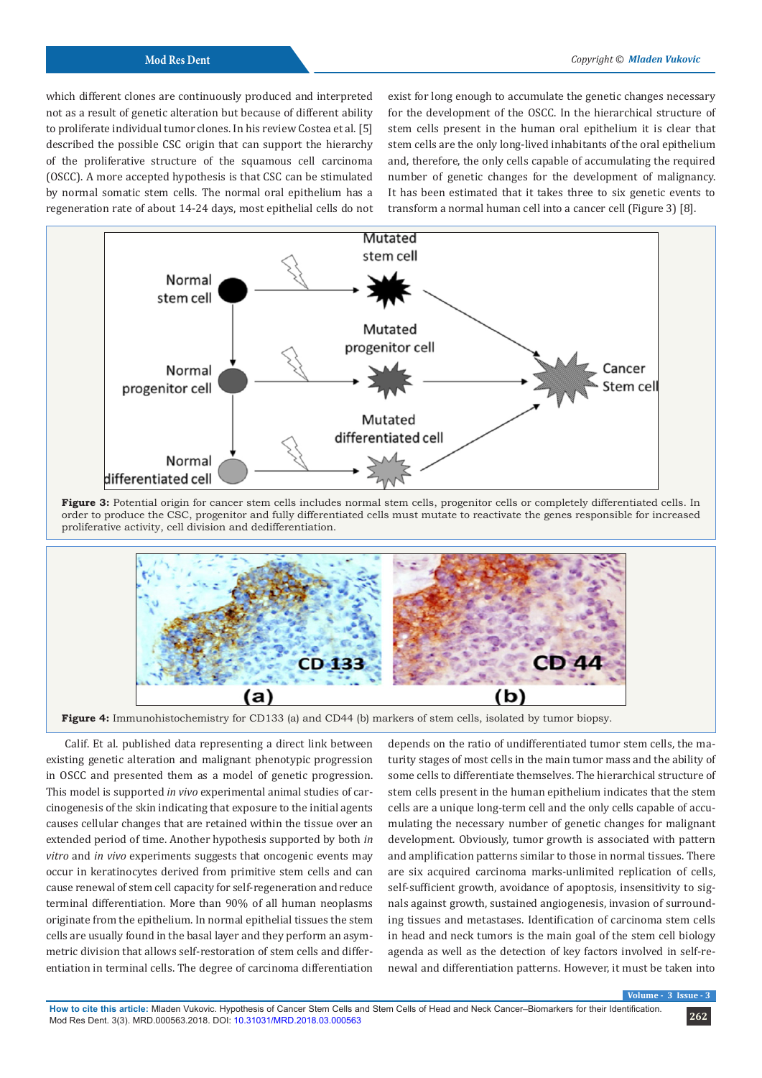which different clones are continuously produced and interpreted not as a result of genetic alteration but because of different ability to proliferate individual tumor clones. In his review Costea et al. [5] described the possible CSC origin that can support the hierarchy of the proliferative structure of the squamous cell carcinoma (OSCC). A more accepted hypothesis is that CSC can be stimulated by normal somatic stem cells. The normal oral epithelium has a regeneration rate of about 14-24 days, most epithelial cells do not

exist for long enough to accumulate the genetic changes necessary for the development of the OSCC. In the hierarchical structure of stem cells present in the human oral epithelium it is clear that stem cells are the only long-lived inhabitants of the oral epithelium and, therefore, the only cells capable of accumulating the required number of genetic changes for the development of malignancy. It has been estimated that it takes three to six genetic events to transform a normal human cell into a cancer cell (Figure 3) [8].



Figure 3: Potential origin for cancer stem cells includes normal stem cells, progenitor cells or completely differentiated cells. In order to produce the CSC, progenitor and fully differentiated cells must mutate to reactivate the genes responsible for increased proliferative activity, cell division and dedifferentiation.



**Figure 4:** Immunohistochemistry for CD133 (a) and CD44 (b) markers of stem cells, isolated by tumor biopsy.

Calif. Et al. published data representing a direct link between existing genetic alteration and malignant phenotypic progression in OSCC and presented them as a model of genetic progression. This model is supported *in vivo* experimental animal studies of carcinogenesis of the skin indicating that exposure to the initial agents causes cellular changes that are retained within the tissue over an extended period of time. Another hypothesis supported by both *in vitro* and *in vivo* experiments suggests that oncogenic events may occur in keratinocytes derived from primitive stem cells and can cause renewal of stem cell capacity for self-regeneration and reduce terminal differentiation. More than 90% of all human neoplasms originate from the epithelium. In normal epithelial tissues the stem cells are usually found in the basal layer and they perform an asymmetric division that allows self-restoration of stem cells and differentiation in terminal cells. The degree of carcinoma differentiation

depends on the ratio of undifferentiated tumor stem cells, the maturity stages of most cells in the main tumor mass and the ability of some cells to differentiate themselves. The hierarchical structure of stem cells present in the human epithelium indicates that the stem cells are a unique long-term cell and the only cells capable of accumulating the necessary number of genetic changes for malignant development. Obviously, tumor growth is associated with pattern and amplification patterns similar to those in normal tissues. There are six acquired carcinoma marks-unlimited replication of cells, self-sufficient growth, avoidance of apoptosis, insensitivity to signals against growth, sustained angiogenesis, invasion of surrounding tissues and metastases. Identification of carcinoma stem cells in head and neck tumors is the main goal of the stem cell biology agenda as well as the detection of key factors involved in self-renewal and differentiation patterns. However, it must be taken into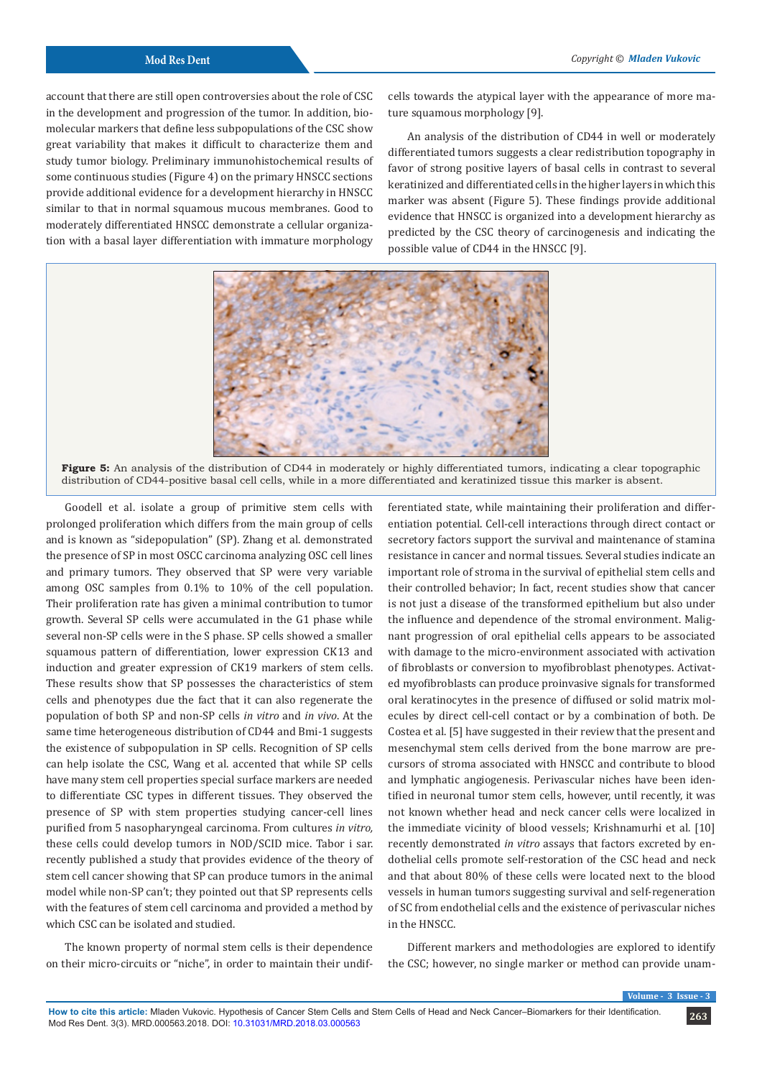account that there are still open controversies about the role of CSC in the development and progression of the tumor. In addition, biomolecular markers that define less subpopulations of the CSC show great variability that makes it difficult to characterize them and study tumor biology. Preliminary immunohistochemical results of some continuous studies (Figure 4) on the primary HNSCC sections provide additional evidence for a development hierarchy in HNSCC similar to that in normal squamous mucous membranes. Good to moderately differentiated HNSCC demonstrate a cellular organization with a basal layer differentiation with immature morphology

cells towards the atypical layer with the appearance of more mature squamous morphology [9].

An analysis of the distribution of CD44 in well or moderately differentiated tumors suggests a clear redistribution topography in favor of strong positive layers of basal cells in contrast to several keratinized and differentiated cells in the higher layers in which this marker was absent (Figure 5). These findings provide additional evidence that HNSCC is organized into a development hierarchy as predicted by the CSC theory of carcinogenesis and indicating the possible value of CD44 in the HNSCC [9].



**Figure 5:** An analysis of the distribution of CD44 in moderately or highly differentiated tumors, indicating a clear topographic distribution of CD44-positive basal cell cells, while in a more differentiated and keratinized tissue this marker is absent.

Goodell et al. isolate a group of primitive stem cells with prolonged proliferation which differs from the main group of cells and is known as "sidepopulation" (SP). Zhang et al. demonstrated the presence of SP in most OSCC carcinoma analyzing OSC cell lines and primary tumors. They observed that SP were very variable among OSC samples from 0.1% to 10% of the cell population. Their proliferation rate has given a minimal contribution to tumor growth. Several SP cells were accumulated in the G1 phase while several non-SP cells were in the S phase. SP cells showed a smaller squamous pattern of differentiation, lower expression CK13 and induction and greater expression of CK19 markers of stem cells. These results show that SP possesses the characteristics of stem cells and phenotypes due the fact that it can also regenerate the population of both SP and non-SP cells *in vitro* and *in vivo*. At the same time heterogeneous distribution of CD44 and Bmi-1 suggests the existence of subpopulation in SP cells. Recognition of SP cells can help isolate the CSC, Wang et al. accented that while SP cells have many stem cell properties special surface markers are needed to differentiate CSC types in different tissues. They observed the presence of SP with stem properties studying cancer-cell lines purified from 5 nasopharyngeal carcinoma. From cultures *in vitro,* these cells could develop tumors in NOD/SCID mice. Tabor i sar. recently published a study that provides evidence of the theory of stem cell cancer showing that SP can produce tumors in the animal model while non-SP can't; they pointed out that SP represents cells with the features of stem cell carcinoma and provided a method by which CSC can be isolated and studied.

The known property of normal stem cells is their dependence on their micro-circuits or "niche", in order to maintain their undifferentiated state, while maintaining their proliferation and differentiation potential. Cell-cell interactions through direct contact or secretory factors support the survival and maintenance of stamina resistance in cancer and normal tissues. Several studies indicate an important role of stroma in the survival of epithelial stem cells and their controlled behavior; In fact, recent studies show that cancer is not just a disease of the transformed epithelium but also under the influence and dependence of the stromal environment. Malignant progression of oral epithelial cells appears to be associated with damage to the micro-environment associated with activation of fibroblasts or conversion to myofibroblast phenotypes. Activated myofibroblasts can produce proinvasive signals for transformed oral keratinocytes in the presence of diffused or solid matrix molecules by direct cell-cell contact or by a combination of both. De Costea et al. [5] have suggested in their review that the present and mesenchymal stem cells derived from the bone marrow are precursors of stroma associated with HNSCC and contribute to blood and lymphatic angiogenesis. Perivascular niches have been identified in neuronal tumor stem cells, however, until recently, it was not known whether head and neck cancer cells were localized in the immediate vicinity of blood vessels; Krishnamurhi et al. [10] recently demonstrated *in vitro* assays that factors excreted by endothelial cells promote self-restoration of the CSC head and neck and that about 80% of these cells were located next to the blood vessels in human tumors suggesting survival and self-regeneration of SC from endothelial cells and the existence of perivascular niches in the HNSCC.

Different markers and methodologies are explored to identify the CSC; however, no single marker or method can provide unam-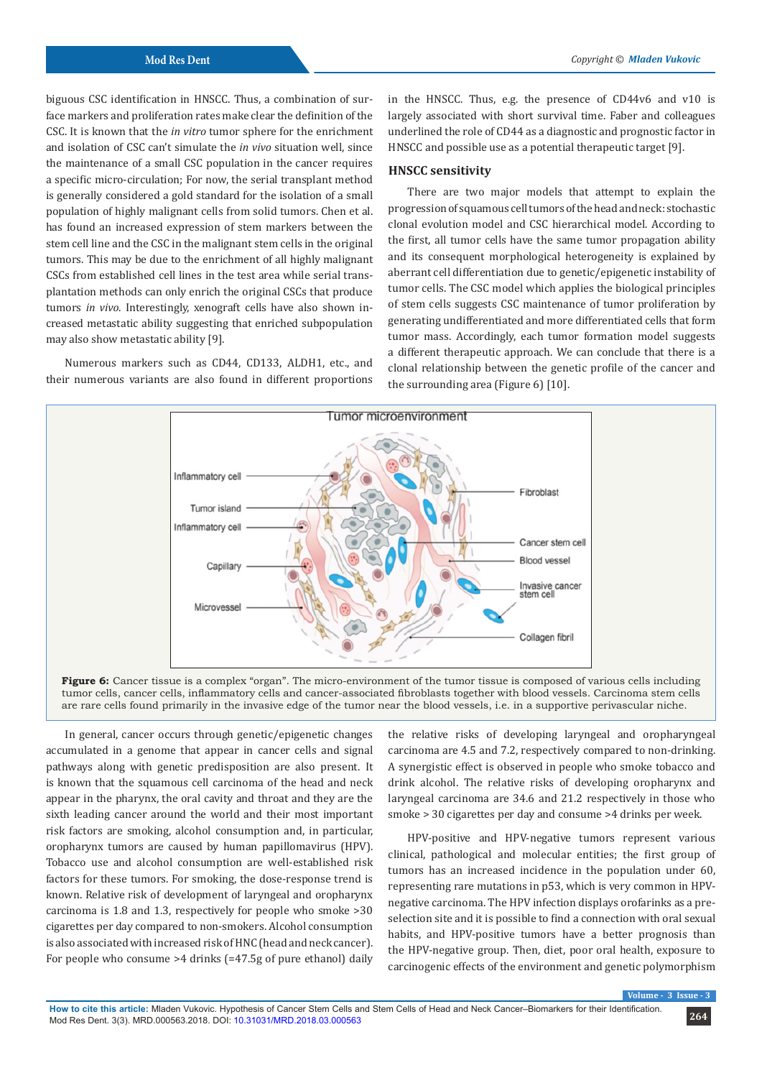biguous CSC identification in HNSCC. Thus, a combination of surface markers and proliferation rates make clear the definition of the CSC. It is known that the *in vitro* tumor sphere for the enrichment and isolation of CSC can't simulate the *in vivo* situation well, since the maintenance of a small CSC population in the cancer requires a specific micro-circulation; For now, the serial transplant method is generally considered a gold standard for the isolation of a small population of highly malignant cells from solid tumors. Chen et al. has found an increased expression of stem markers between the stem cell line and the CSC in the malignant stem cells in the original tumors. This may be due to the enrichment of all highly malignant CSCs from established cell lines in the test area while serial transplantation methods can only enrich the original CSCs that produce tumors *in vivo*. Interestingly, xenograft cells have also shown increased metastatic ability suggesting that enriched subpopulation may also show metastatic ability [9].

Numerous markers such as CD44, CD133, ALDH1, etc., and their numerous variants are also found in different proportions in the HNSCC. Thus, e.g. the presence of CD44v6 and v10 is largely associated with short survival time. Faber and colleagues underlined the role of CD44 as a diagnostic and prognostic factor in HNSCC and possible use as a potential therapeutic target [9].

# **HNSCC sensitivity**

There are two major models that attempt to explain the progression of squamous cell tumors of the head and neck: stochastic clonal evolution model and CSC hierarchical model. According to the first, all tumor cells have the same tumor propagation ability and its consequent morphological heterogeneity is explained by aberrant cell differentiation due to genetic/epigenetic instability of tumor cells. The CSC model which applies the biological principles of stem cells suggests CSC maintenance of tumor proliferation by generating undifferentiated and more differentiated cells that form tumor mass. Accordingly, each tumor formation model suggests a different therapeutic approach. We can conclude that there is a clonal relationship between the genetic profile of the cancer and the surrounding area (Figure 6) [10].



**Figure 6:** Cancer tissue is a complex "organ". The micro-environment of the tumor tissue is composed of various cells including tumor cells, cancer cells, inflammatory cells and cancer-associated fibroblasts together with blood vessels. Carcinoma stem cells are rare cells found primarily in the invasive edge of the tumor near the blood vessels, i.e. in a supportive perivascular niche.

In general, cancer occurs through genetic/epigenetic changes accumulated in a genome that appear in cancer cells and signal pathways along with genetic predisposition are also present. It is known that the squamous cell carcinoma of the head and neck appear in the pharynx, the oral cavity and throat and they are the sixth leading cancer around the world and their most important risk factors are smoking, alcohol consumption and, in particular, oropharynx tumors are caused by human papillomavirus (HPV). Tobacco use and alcohol consumption are well-established risk factors for these tumors. For smoking, the dose-response trend is known. Relative risk of development of laryngeal and oropharynx carcinoma is 1.8 and 1.3, respectively for people who smoke >30 cigarettes per day compared to non-smokers. Alcohol consumption is also associated with increased risk of HNC (head and neck cancer). For people who consume >4 drinks (=47.5g of pure ethanol) daily

the relative risks of developing laryngeal and oropharyngeal carcinoma are 4.5 and 7.2, respectively compared to non-drinking. A synergistic effect is observed in people who smoke tobacco and drink alcohol. The relative risks of developing oropharynx and laryngeal carcinoma are 34.6 and 21.2 respectively in those who smoke > 30 cigarettes per day and consume >4 drinks per week.

HPV-positive and HPV-negative tumors represent various clinical, pathological and molecular entities; the first group of tumors has an increased incidence in the population under 60, representing rare mutations in p53, which is very common in HPVnegative carcinoma. The HPV infection displays orofarinks as a preselection site and it is possible to find a connection with oral sexual habits, and HPV-positive tumors have a better prognosis than the HPV-negative group. Then, diet, poor oral health, exposure to carcinogenic effects of the environment and genetic polymorphism

 $V$ *N N* **I**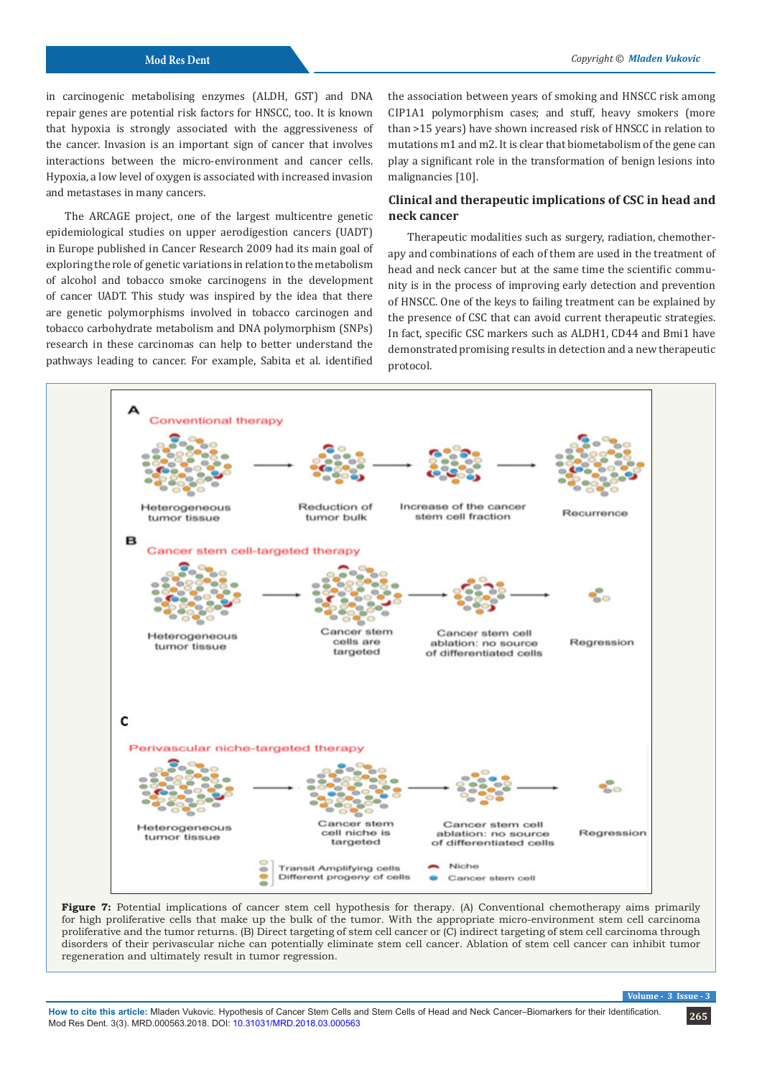in carcinogenic metabolising enzymes (ALDH, GST) and DNA repair genes are potential risk factors for HNSCC, too. It is known that hypoxia is strongly associated with the aggressiveness of the cancer. Invasion is an important sign of cancer that involves interactions between the micro-environment and cancer cells. Hypoxia, a low level of oxygen is associated with increased invasion and metastases in many cancers.

The ARCAGE project, one of the largest multicentre genetic epidemiological studies on upper aerodigestion cancers (UADT) in Europe published in Cancer Research 2009 had its main goal of exploring the role of genetic variations in relation to the metabolism of alcohol and tobacco smoke carcinogens in the development of cancer UADT. This study was inspired by the idea that there are genetic polymorphisms involved in tobacco carcinogen and tobacco carbohydrate metabolism and DNA polymorphism (SNPs) research in these carcinomas can help to better understand the pathways leading to cancer. For example, Sabita et al. identified

the association between years of smoking and HNSCC risk among CIP1A1 polymorphism cases; and stuff, heavy smokers (more than >15 years) have shown increased risk of HNSCC in relation to mutations m1 and m2. It is clear that biometabolism of the gene can play a significant role in the transformation of benign lesions into malignancies [10].

# **Clinical and therapeutic implications of CSC in head and neck cancer**

Therapeutic modalities such as surgery, radiation, chemotherapy and combinations of each of them are used in the treatment of head and neck cancer but at the same time the scientific community is in the process of improving early detection and prevention of HNSCC. One of the keys to failing treatment can be explained by the presence of CSC that can avoid current therapeutic strategies. In fact, specific CSC markers such as ALDH1, CD44 and Bmi1 have demonstrated promising results in detection and a new therapeutic protocol.



**Figure 7:** Potential implications of cancer stem cell hypothesis for therapy. (A) Conventional chemotherapy aims primarily for high proliferative cells that make up the bulk of the tumor. With the appropriate micro-environment stem cell carcinoma proliferative and the tumor returns. (B) Direct targeting of stem cell cancer or (C) indirect targeting of stem cell carcinoma through disorders of their perivascular niche can potentially eliminate stem cell cancer. Ablation of stem cell cancer can inhibit tumor regeneration and ultimately result in tumor regression.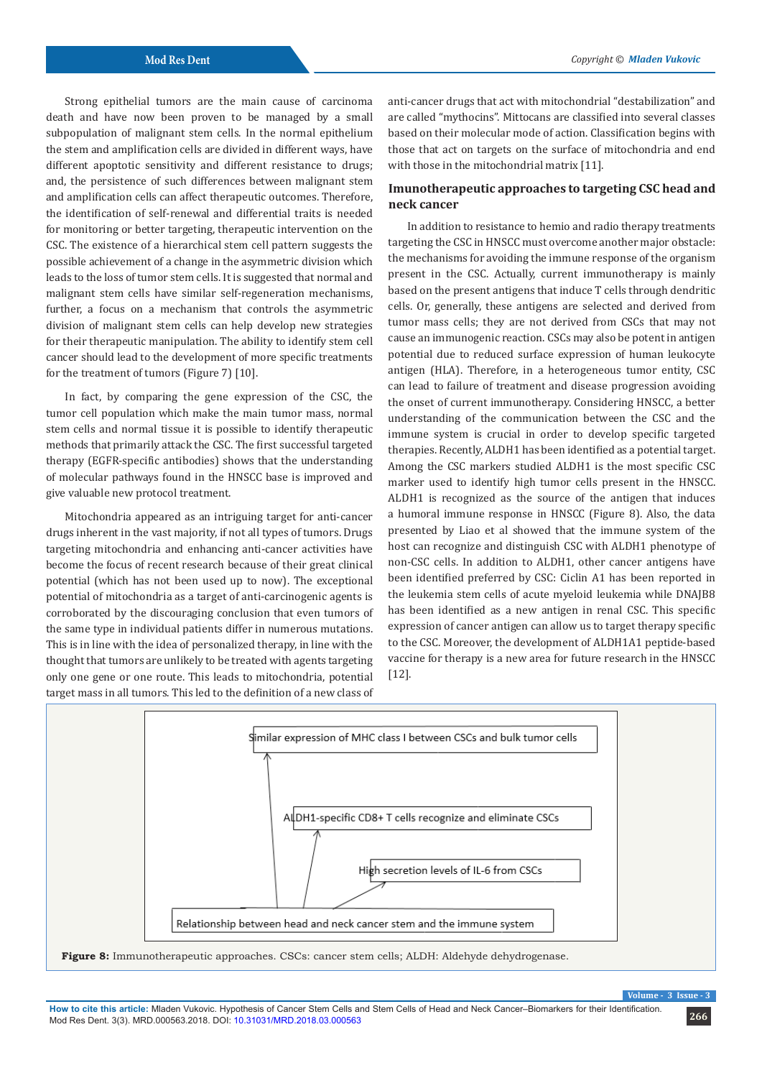Strong epithelial tumors are the main cause of carcinoma death and have now been proven to be managed by a small subpopulation of malignant stem cells. In the normal epithelium the stem and amplification cells are divided in different ways, have different apoptotic sensitivity and different resistance to drugs; and, the persistence of such differences between malignant stem and amplification cells can affect therapeutic outcomes. Therefore, the identification of self-renewal and differential traits is needed for monitoring or better targeting, therapeutic intervention on the CSC. The existence of a hierarchical stem cell pattern suggests the possible achievement of a change in the asymmetric division which leads to the loss of tumor stem cells. It is suggested that normal and malignant stem cells have similar self-regeneration mechanisms, further, a focus on a mechanism that controls the asymmetric division of malignant stem cells can help develop new strategies for their therapeutic manipulation. The ability to identify stem cell cancer should lead to the development of more specific treatments for the treatment of tumors (Figure 7) [10].

In fact, by comparing the gene expression of the CSC, the tumor cell population which make the main tumor mass, normal stem cells and normal tissue it is possible to identify therapeutic methods that primarily attack the CSC. The first successful targeted therapy (EGFR-specific antibodies) shows that the understanding of molecular pathways found in the HNSCC base is improved and give valuable new protocol treatment.

Mitochondria appeared as an intriguing target for anti-cancer drugs inherent in the vast majority, if not all types of tumors. Drugs targeting mitochondria and enhancing anti-cancer activities have become the focus of recent research because of their great clinical potential (which has not been used up to now). The exceptional potential of mitochondria as a target of anti-carcinogenic agents is corroborated by the discouraging conclusion that even tumors of the same type in individual patients differ in numerous mutations. This is in line with the idea of personalized therapy, in line with the thought that tumors are unlikely to be treated with agents targeting only one gene or one route. This leads to mitochondria, potential target mass in all tumors. This led to the definition of a new class of

anti-cancer drugs that act with mitochondrial "destabilization" and are called "mythocins". Mittocans are classified into several classes based on their molecular mode of action. Classification begins with those that act on targets on the surface of mitochondria and end with those in the mitochondrial matrix [11].

# **Imunotherapeutic approaches to targeting CSC head and neck cancer**

In addition to resistance to hemio and radio therapy treatments targeting the CSC in HNSCC must overcome another major obstacle: the mechanisms for avoiding the immune response of the organism present in the CSC. Actually, current immunotherapy is mainly based on the present antigens that induce T cells through dendritic cells. Or, generally, these antigens are selected and derived from tumor mass cells; they are not derived from CSCs that may not cause an immunogenic reaction. CSCs may also be potent in antigen potential due to reduced surface expression of human leukocyte antigen (HLA). Therefore, in a heterogeneous tumor entity, CSC can lead to failure of treatment and disease progression avoiding the onset of current immunotherapy. Considering HNSCC, a better understanding of the communication between the CSC and the immune system is crucial in order to develop specific targeted therapies. Recently, ALDH1 has been identified as a potential target. Among the CSC markers studied ALDH1 is the most specific CSC marker used to identify high tumor cells present in the HNSCC. ALDH1 is recognized as the source of the antigen that induces a humoral immune response in HNSCC (Figure 8). Also, the data presented by Liao et al showed that the immune system of the host can recognize and distinguish CSC with ALDH1 phenotype of non-CSC cells. In addition to ALDH1, other cancer antigens have been identified preferred by CSC: Ciclin A1 has been reported in the leukemia stem cells of acute myeloid leukemia while DNAJB8 has been identified as a new antigen in renal CSC. This specific expression of cancer antigen can allow us to target therapy specific to the CSC. Moreover, the development of ALDH1A1 peptide-based vaccine for therapy is a new area for future research in the HNSCC [12].



**Figure 8:** Immunotherapeutic approaches. CSCs: cancer stem cells; ALDH: Aldehyde dehydrogenase.

 $V$ olume